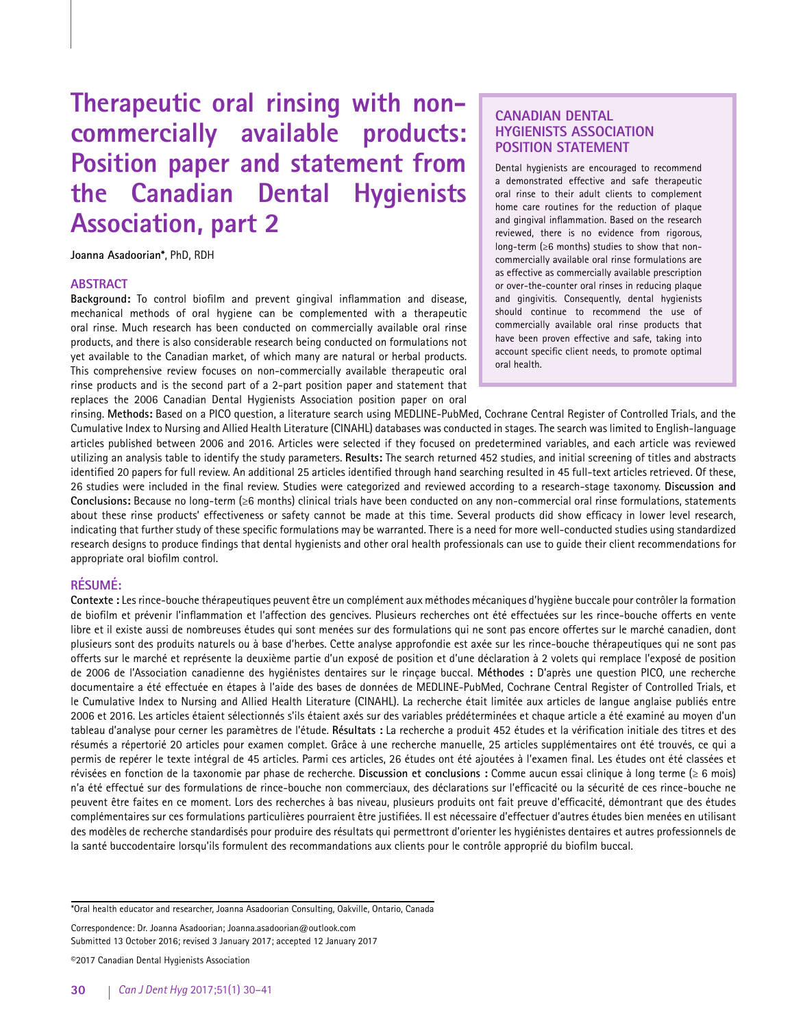**Therapeutic oral rinsing with noncommercially available products: Position paper and statement from the Canadian Dental Hygienists Association, part 2**

**Joanna Asadoorian\***, PhD, RDH

## **ABSTRACT**

**Background:** To control biofilm and prevent gingival inflammation and disease, mechanical methods of oral hygiene can be complemented with a therapeutic oral rinse. Much research has been conducted on commercially available oral rinse products, and there is also considerable research being conducted on formulations not yet available to the Canadian market, of which many are natural or herbal products. This comprehensive review focuses on non-commercially available therapeutic oral rinse products and is the second part of a 2-part position paper and statement that replaces the 2006 Canadian Dental Hygienists Association position paper on oral

# **CANADIAN DENTAL HYGIENISTS ASSOCIATION POSITION STATEMENT**

Dental hygienists are encouraged to recommend a demonstrated effective and safe therapeutic oral rinse to their adult clients to complement home care routines for the reduction of plaque and gingival inflammation. Based on the research reviewed, there is no evidence from rigorous, long-term (≥6 months) studies to show that noncommercially available oral rinse formulations are as effective as commercially available prescription or over-the-counter oral rinses in reducing plaque and gingivitis. Consequently, dental hygienists should continue to recommend the use of commercially available oral rinse products that have been proven effective and safe, taking into account specific client needs, to promote optimal oral health.

rinsing. **Methods:** Based on a PICO question, a literature search using MEDLINE-PubMed, Cochrane Central Register of Controlled Trials, and the Cumulative Index to Nursing and Allied Health Literature (CINAHL) databases was conducted in stages. The search was limited to English-language articles published between 2006 and 2016. Articles were selected if they focused on predetermined variables, and each article was reviewed utilizing an analysis table to identify the study parameters. **Results:** The search returned 452 studies, and initial screening of titles and abstracts identified 20 papers for full review. An additional 25 articles identified through hand searching resulted in 45 full-text articles retrieved. Of these, 26 studies were included in the final review. Studies were categorized and reviewed according to a research-stage taxonomy. **Discussion and Conclusions:** Because no long-term (≥6 months) clinical trials have been conducted on any non-commercial oral rinse formulations, statements about these rinse products' effectiveness or safety cannot be made at this time. Several products did show efficacy in lower level research, indicating that further study of these specific formulations may be warranted. There is a need for more well-conducted studies using standardized research designs to produce findings that dental hygienists and other oral health professionals can use to guide their client recommendations for appropriate oral biofilm control.

# **RÉSUMÉ:**

**Contexte :** Les rince-bouche thérapeutiques peuvent être un complément aux méthodes mécaniques d'hygiène buccale pour contrôler la formation de biofilm et prévenir l'inflammation et l'affection des gencives. Plusieurs recherches ont été effectuées sur les rince-bouche offerts en vente libre et il existe aussi de nombreuses études qui sont menées sur des formulations qui ne sont pas encore offertes sur le marché canadien, dont plusieurs sont des produits naturels ou à base d'herbes. Cette analyse approfondie est axée sur les rince-bouche thérapeutiques qui ne sont pas offerts sur le marché et représente la deuxième partie d'un exposé de position et d'une déclaration à 2 volets qui remplace l'exposé de position de 2006 de l'Association canadienne des hygiénistes dentaires sur le rinçage buccal. **Méthodes :** D'après une question PICO, une recherche documentaire a été effectuée en étapes à l'aide des bases de données de MEDLINE-PubMed, Cochrane Central Register of Controlled Trials, et le Cumulative Index to Nursing and Allied Health Literature (CINAHL). La recherche était limitée aux articles de langue anglaise publiés entre 2006 et 2016. Les articles étaient sélectionnés s'ils étaient axés sur des variables prédéterminées et chaque article a été examiné au moyen d'un tableau d'analyse pour cerner les paramètres de l'étude. **Résultats :** La recherche a produit 452 études et la vérification initiale des titres et des résumés a répertorié 20 articles pour examen complet. Grâce à une recherche manuelle, 25 articles supplémentaires ont été trouvés, ce qui a permis de repérer le texte intégral de 45 articles. Parmi ces articles, 26 études ont été ajoutées à l'examen final. Les études ont été classées et révisées en fonction de la taxonomie par phase de recherche. **Discussion et conclusions :** Comme aucun essai clinique à long terme (≥ 6 mois) n'a été effectué sur des formulations de rince-bouche non commerciaux, des déclarations sur l'efficacité ou la sécurité de ces rince-bouche ne peuvent être faites en ce moment. Lors des recherches à bas niveau, plusieurs produits ont fait preuve d'efficacité, démontrant que des études complémentaires sur ces formulations particulières pourraient être justifiées. Il est nécessaire d'effectuer d'autres études bien menées en utilisant des modèles de recherche standardisés pour produire des résultats qui permettront d'orienter les hygiénistes dentaires et autres professionnels de la santé buccodentaire lorsqu'ils formulent des recommandations aux clients pour le contrôle approprié du biofilm buccal.

\*Oral health educator and researcher, Joanna Asadoorian Consulting, Oakville, Ontario, Canada

Correspondence: Dr. Joanna Asadoorian; Joanna.asadoorian@outlook.com Submitted 13 October 2016; revised 3 January 2017; accepted 12 January 2017

©2017 Canadian Dental Hygienists Association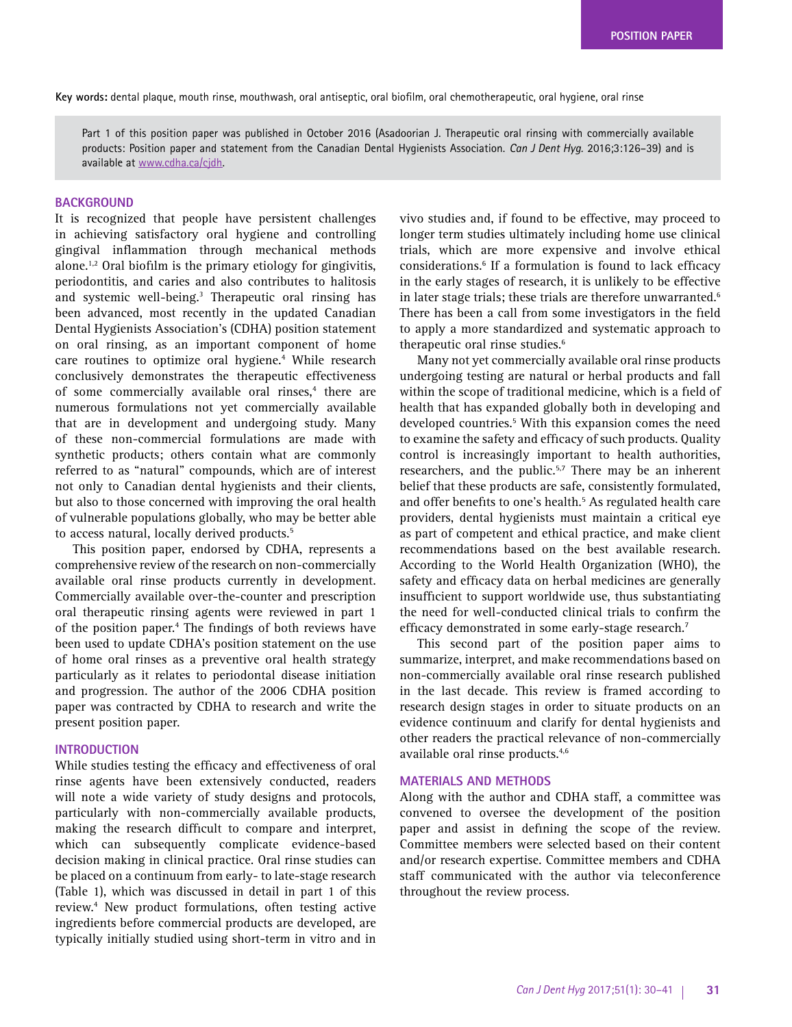**Key words:** dental plaque, mouth rinse, mouthwash, oral antiseptic, oral biofilm, oral chemotherapeutic, oral hygiene, oral rinse

Part 1 of this position paper was published in October 2016 (Asadoorian J. Therapeutic oral rinsing with commercially available products: Position paper and statement from the Canadian Dental Hygienists Association. *Can J Dent Hyg.* 2016;3:126–39) and is available at [www.cdha.ca/cjdh](http://www.cdha.ca/cjdh).

## **BACKGROUND**

It is recognized that people have persistent challenges in achieving satisfactory oral hygiene and controlling gingival inflammation through mechanical methods alone.<sup>1,2</sup> Oral biofilm is the primary etiology for gingivitis, periodontitis, and caries and also contributes to halitosis and systemic well-being.<sup>3</sup> Therapeutic oral rinsing has been advanced, most recently in the updated Canadian Dental Hygienists Association's (CDHA) position statement on oral rinsing, as an important component of home care routines to optimize oral hygiene.<sup>4</sup> While research conclusively demonstrates the therapeutic effectiveness of some commercially available oral rinses,<sup>4</sup> there are numerous formulations not yet commercially available that are in development and undergoing study. Many of these non-commercial formulations are made with synthetic products; others contain what are commonly referred to as "natural" compounds, which are of interest not only to Canadian dental hygienists and their clients, but also to those concerned with improving the oral health of vulnerable populations globally, who may be better able to access natural, locally derived products.<sup>5</sup>

This position paper, endorsed by CDHA, represents a comprehensive review of the research on non-commercially available oral rinse products currently in development. Commercially available over-the-counter and prescription oral therapeutic rinsing agents were reviewed in part 1 of the position paper.<sup>4</sup> The findings of both reviews have been used to update CDHA's position statement on the use of home oral rinses as a preventive oral health strategy particularly as it relates to periodontal disease initiation and progression. The author of the 2006 CDHA position paper was contracted by CDHA to research and write the present position paper.

# **INTRODUCTION**

While studies testing the efficacy and effectiveness of oral rinse agents have been extensively conducted, readers will note a wide variety of study designs and protocols, particularly with non-commercially available products, making the research difficult to compare and interpret, which can subsequently complicate evidence-based decision making in clinical practice. Oral rinse studies can be placed on a continuum from early- to late-stage research (Table 1), which was discussed in detail in part 1 of this review.4 New product formulations, often testing active ingredients before commercial products are developed, are typically initially studied using short-term in vitro and in

vivo studies and, if found to be effective, may proceed to longer term studies ultimately including home use clinical trials, which are more expensive and involve ethical considerations.6 If a formulation is found to lack efficacy in the early stages of research, it is unlikely to be effective in later stage trials; these trials are therefore unwarranted.<sup>6</sup> There has been a call from some investigators in the field to apply a more standardized and systematic approach to therapeutic oral rinse studies.<sup>6</sup>

Many not yet commercially available oral rinse products undergoing testing are natural or herbal products and fall within the scope of traditional medicine, which is a field of health that has expanded globally both in developing and developed countries.<sup>5</sup> With this expansion comes the need to examine the safety and efficacy of such products. Quality control is increasingly important to health authorities, researchers, and the public.<sup>5,7</sup> There may be an inherent belief that these products are safe, consistently formulated, and offer benefits to one's health.<sup>5</sup> As regulated health care providers, dental hygienists must maintain a critical eye as part of competent and ethical practice, and make client recommendations based on the best available research. According to the World Health Organization (WHO), the safety and efficacy data on herbal medicines are generally insufficient to support worldwide use, thus substantiating the need for well-conducted clinical trials to confirm the efficacy demonstrated in some early-stage research.<sup>7</sup>

This second part of the position paper aims to summarize, interpret, and make recommendations based on non-commercially available oral rinse research published in the last decade. This review is framed according to research design stages in order to situate products on an evidence continuum and clarify for dental hygienists and other readers the practical relevance of non-commercially available oral rinse products.4,6

### **MATERIALS AND METHODS**

Along with the author and CDHA staff, a committee was convened to oversee the development of the position paper and assist in defining the scope of the review. Committee members were selected based on their content and/or research expertise. Committee members and CDHA staff communicated with the author via teleconference throughout the review process.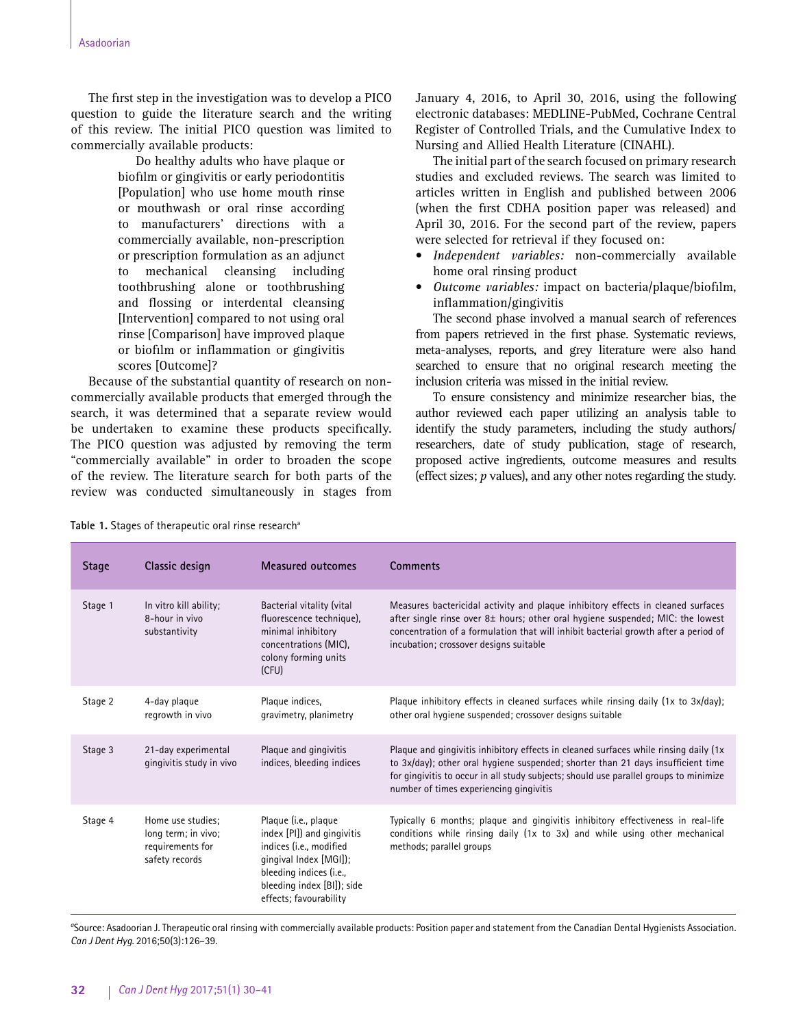The first step in the investigation was to develop a PICO question to guide the literature search and the writing of this review. The initial PICO question was limited to commercially available products:

> Do healthy adults who have plaque or biofilm or gingivitis or early periodontitis [Population] who use home mouth rinse or mouthwash or oral rinse according to manufacturers' directions with a commercially available, non-prescription or prescription formulation as an adjunct to mechanical cleansing including toothbrushing alone or toothbrushing and flossing or interdental cleansing [Intervention] compared to not using oral rinse [Comparison] have improved plaque or biofilm or inflammation or gingivitis scores [Outcome]?

Because of the substantial quantity of research on noncommercially available products that emerged through the search, it was determined that a separate review would be undertaken to examine these products specifically. The PICO question was adjusted by removing the term "commercially available" in order to broaden the scope of the review. The literature search for both parts of the review was conducted simultaneously in stages from January 4, 2016, to April 30, 2016, using the following electronic databases: MEDLINE-PubMed, Cochrane Central Register of Controlled Trials, and the Cumulative Index to Nursing and Allied Health Literature (CINAHL).

The initial part of the search focused on primary research studies and excluded reviews. The search was limited to articles written in English and published between 2006 (when the first CDHA position paper was released) and April 30, 2016. For the second part of the review, papers were selected for retrieval if they focused on:

- *Independent variables:* non-commercially available home oral rinsing product
- *Outcome variables:* impact on bacteria/plaque/biofilm, inflammation/gingivitis

The second phase involved a manual search of references from papers retrieved in the first phase. Systematic reviews, meta-analyses, reports, and grey literature were also hand searched to ensure that no original research meeting the inclusion criteria was missed in the initial review.

To ensure consistency and minimize researcher bias, the author reviewed each paper utilizing an analysis table to identify the study parameters, including the study authors/ researchers, date of study publication, stage of research, proposed active ingredients, outcome measures and results (effect sizes; *p* values), and any other notes regarding the study.

| <b>Stage</b> | Classic design                                                                 | Measured outcomes                                                                                                                                                                          | <b>Comments</b>                                                                                                                                                                                                                                                                                                |
|--------------|--------------------------------------------------------------------------------|--------------------------------------------------------------------------------------------------------------------------------------------------------------------------------------------|----------------------------------------------------------------------------------------------------------------------------------------------------------------------------------------------------------------------------------------------------------------------------------------------------------------|
| Stage 1      | In vitro kill ability;<br>8-hour in vivo<br>substantivity                      | Bacterial vitality (vital<br>fluorescence technique),<br>minimal inhibitory<br>concentrations (MIC),<br>colony forming units<br>(CFU)                                                      | Measures bactericidal activity and plaque inhibitory effects in cleaned surfaces<br>after single rinse over $8\pm$ hours; other oral hygiene suspended; MIC: the lowest<br>concentration of a formulation that will inhibit bacterial growth after a period of<br>incubation; crossover designs suitable       |
| Stage 2      | 4-day plaque<br>regrowth in vivo                                               | Plaque indices,<br>gravimetry, planimetry                                                                                                                                                  | Plaque inhibitory effects in cleaned surfaces while rinsing daily $(1x \text{ to } 3x/\text{day})$ ;<br>other oral hygiene suspended; crossover designs suitable                                                                                                                                               |
| Stage 3      | 21-day experimental<br>gingivitis study in vivo                                | Plaque and gingivitis<br>indices, bleeding indices                                                                                                                                         | Plaque and gingivitis inhibitory effects in cleaned surfaces while rinsing daily (1x<br>to $3x/day$ ; other oral hygiene suspended; shorter than 21 days insufficient time<br>for gingivitis to occur in all study subjects; should use parallel groups to minimize<br>number of times experiencing gingivitis |
| Stage 4      | Home use studies;<br>long term; in vivo;<br>requirements for<br>safety records | Plaque (i.e., plaque<br>index [PI]) and gingivitis<br>indices (i.e., modified<br>gingival Index [MGI]);<br>bleeding indices (i.e.,<br>bleeding index [BI]); side<br>effects; favourability | Typically 6 months; plaque and gingivitis inhibitory effectiveness in real-life<br>conditions while rinsing daily $(1x \text{ to } 3x)$ and while using other mechanical<br>methods; parallel groups                                                                                                           |

Table 1. Stages of therapeutic oral rinse research<sup>a</sup>

*a* Source: Asadoorian J. Therapeutic oral rinsing with commercially available products: Position paper and statement from the Canadian Dental Hygienists Association. *Can J Dent Hyg.* 2016;50(3):126–39.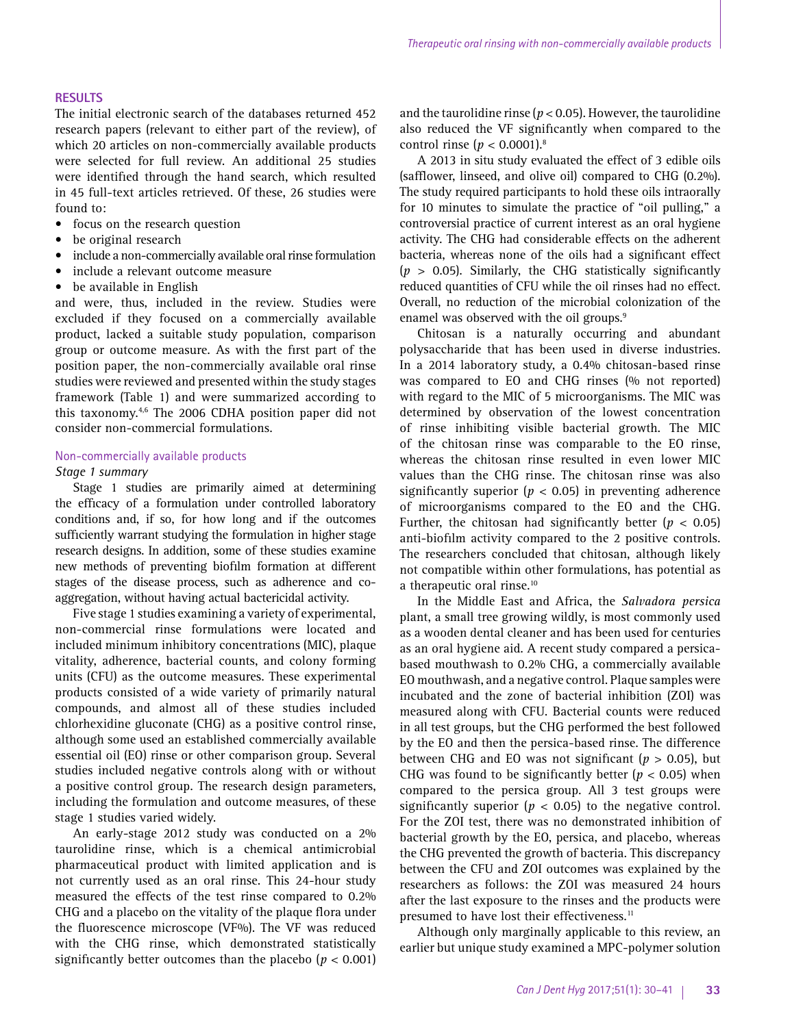## **RESULTS**

The initial electronic search of the databases returned 452 research papers (relevant to either part of the review), of which 20 articles on non-commercially available products were selected for full review. An additional 25 studies were identified through the hand search, which resulted in 45 full-text articles retrieved. Of these, 26 studies were found to:

- focus on the research question
- be original research
- include a non-commercially available oral rinse formulation
- include a relevant outcome measure
- be available in English

and were, thus, included in the review. Studies were excluded if they focused on a commercially available product, lacked a suitable study population, comparison group or outcome measure. As with the first part of the position paper, the non-commercially available oral rinse studies were reviewed and presented within the study stages framework (Table 1) and were summarized according to this taxonomy.4,6 The 2006 CDHA position paper did not consider non-commercial formulations.

### Non-commercially available products

### *Stage 1 summary*

Stage 1 studies are primarily aimed at determining the efficacy of a formulation under controlled laboratory conditions and, if so, for how long and if the outcomes sufficiently warrant studying the formulation in higher stage research designs. In addition, some of these studies examine new methods of preventing biofilm formation at different stages of the disease process, such as adherence and coaggregation, without having actual bactericidal activity.

Five stage 1 studies examining a variety of experimental, non-commercial rinse formulations were located and included minimum inhibitory concentrations (MIC), plaque vitality, adherence, bacterial counts, and colony forming units (CFU) as the outcome measures. These experimental products consisted of a wide variety of primarily natural compounds, and almost all of these studies included chlorhexidine gluconate (CHG) as a positive control rinse, although some used an established commercially available essential oil (EO) rinse or other comparison group. Several studies included negative controls along with or without a positive control group. The research design parameters, including the formulation and outcome measures, of these stage 1 studies varied widely.

An early-stage 2012 study was conducted on a 2% taurolidine rinse, which is a chemical antimicrobial pharmaceutical product with limited application and is not currently used as an oral rinse. This 24-hour study measured the effects of the test rinse compared to 0.2% CHG and a placebo on the vitality of the plaque flora under the fluorescence microscope (VF%). The VF was reduced with the CHG rinse, which demonstrated statistically significantly better outcomes than the placebo  $(p < 0.001)$  and the taurolidine rinse ( $p < 0.05$ ). However, the taurolidine also reduced the VF significantly when compared to the control rinse  $(p < 0.0001).$ <sup>8</sup>

A 2013 in situ study evaluated the effect of 3 edible oils (safflower, linseed, and olive oil) compared to CHG (0.2%). The study required participants to hold these oils intraorally for 10 minutes to simulate the practice of "oil pulling," a controversial practice of current interest as an oral hygiene activity. The CHG had considerable effects on the adherent bacteria, whereas none of the oils had a significant effect (*p* > 0.05). Similarly, the CHG statistically significantly reduced quantities of CFU while the oil rinses had no effect. Overall, no reduction of the microbial colonization of the enamel was observed with the oil groups.<sup>9</sup>

Chitosan is a naturally occurring and abundant polysaccharide that has been used in diverse industries. In a 2014 laboratory study, a 0.4% chitosan-based rinse was compared to EO and CHG rinses (% not reported) with regard to the MIC of 5 microorganisms. The MIC was determined by observation of the lowest concentration of rinse inhibiting visible bacterial growth. The MIC of the chitosan rinse was comparable to the EO rinse, whereas the chitosan rinse resulted in even lower MIC values than the CHG rinse. The chitosan rinse was also significantly superior ( $p < 0.05$ ) in preventing adherence of microorganisms compared to the EO and the CHG. Further, the chitosan had significantly better  $(p < 0.05)$ anti-biofilm activity compared to the 2 positive controls. The researchers concluded that chitosan, although likely not compatible within other formulations, has potential as a therapeutic oral rinse.<sup>10</sup>

In the Middle East and Africa, the *Salvadora persica*  plant, a small tree growing wildly, is most commonly used as a wooden dental cleaner and has been used for centuries as an oral hygiene aid. A recent study compared a persicabased mouthwash to 0.2% CHG, a commercially available EO mouthwash, and a negative control. Plaque samples were incubated and the zone of bacterial inhibition (ZOI) was measured along with CFU. Bacterial counts were reduced in all test groups, but the CHG performed the best followed by the EO and then the persica-based rinse. The difference between CHG and EO was not significant (*p* > 0.05), but CHG was found to be significantly better ( $p < 0.05$ ) when compared to the persica group. All 3 test groups were significantly superior ( $p < 0.05$ ) to the negative control. For the ZOI test, there was no demonstrated inhibition of bacterial growth by the EO, persica, and placebo, whereas the CHG prevented the growth of bacteria. This discrepancy between the CFU and ZOI outcomes was explained by the researchers as follows: the ZOI was measured 24 hours after the last exposure to the rinses and the products were presumed to have lost their effectiveness.<sup>11</sup>

Although only marginally applicable to this review, an earlier but unique study examined a MPC-polymer solution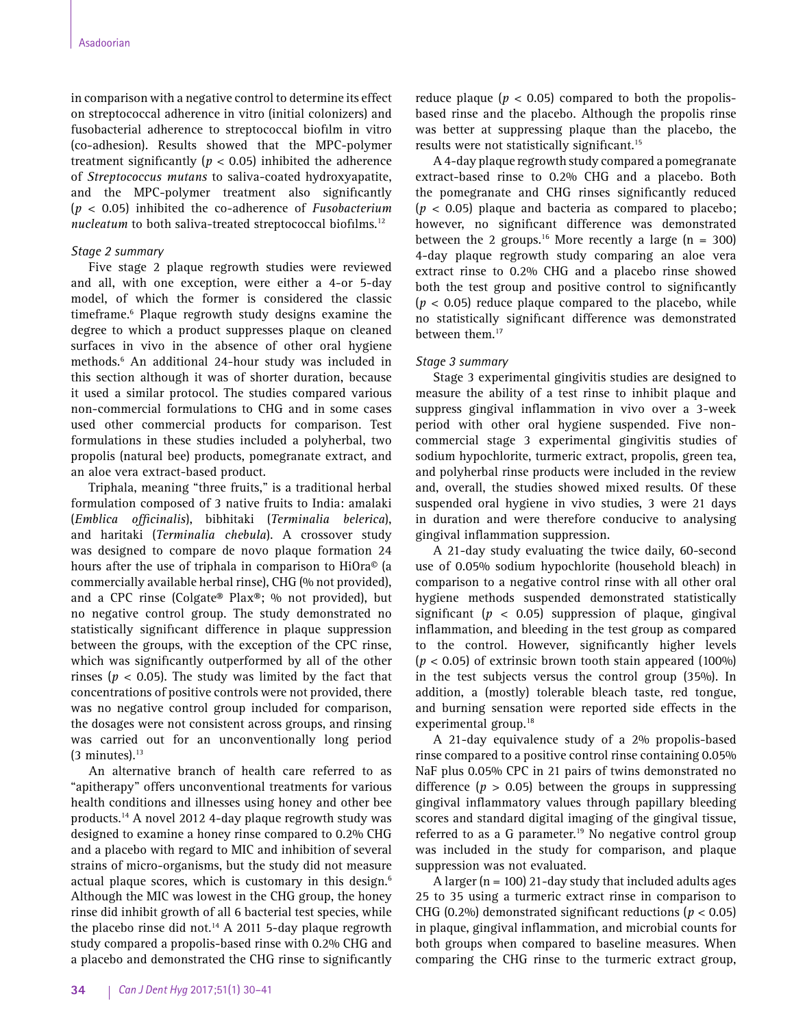in comparison with a negative control to determine its effect on streptococcal adherence in vitro (initial colonizers) and fusobacterial adherence to streptococcal biofilm in vitro (co-adhesion). Results showed that the MPC-polymer treatment significantly ( $p < 0.05$ ) inhibited the adherence of *Streptococcus mutans* to saliva-coated hydroxyapatite, and the MPC-polymer treatment also significantly (*p* < 0.05) inhibited the co-adherence of *Fusobacterium nucleatum* to both saliva-treated streptococcal biofilms.<sup>12</sup>

## *Stage 2 summary*

Five stage 2 plaque regrowth studies were reviewed and all, with one exception, were either a 4-or 5-day model, of which the former is considered the classic timeframe.6 Plaque regrowth study designs examine the degree to which a product suppresses plaque on cleaned surfaces in vivo in the absence of other oral hygiene methods.6 An additional 24-hour study was included in this section although it was of shorter duration, because it used a similar protocol. The studies compared various non-commercial formulations to CHG and in some cases used other commercial products for comparison. Test formulations in these studies included a polyherbal, two propolis (natural bee) products, pomegranate extract, and an aloe vera extract-based product.

Triphala, meaning "three fruits," is a traditional herbal formulation composed of 3 native fruits to India: amalaki (*Emblica officinalis*), bibhitaki (*Terminalia belerica*), and haritaki (*Terminalia chebula*). A crossover study was designed to compare de novo plaque formation 24 hours after the use of triphala in comparison to HiOra© (a commercially available herbal rinse), CHG (% not provided), and a CPC rinse (Colgate® Plax®; % not provided), but no negative control group. The study demonstrated no statistically significant difference in plaque suppression between the groups, with the exception of the CPC rinse, which was significantly outperformed by all of the other rinses ( $p < 0.05$ ). The study was limited by the fact that concentrations of positive controls were not provided, there was no negative control group included for comparison, the dosages were not consistent across groups, and rinsing was carried out for an unconventionally long period  $(3 \text{ minutes})$ .<sup>13</sup>

An alternative branch of health care referred to as "apitherapy" offers unconventional treatments for various health conditions and illnesses using honey and other bee products.14 A novel 2012 4-day plaque regrowth study was designed to examine a honey rinse compared to 0.2% CHG and a placebo with regard to MIC and inhibition of several strains of micro-organisms, but the study did not measure actual plaque scores, which is customary in this design.<sup>6</sup> Although the MIC was lowest in the CHG group, the honey rinse did inhibit growth of all 6 bacterial test species, while the placebo rinse did not. $14$  A 2011 5-day plaque regrowth study compared a propolis-based rinse with 0.2% CHG and a placebo and demonstrated the CHG rinse to significantly

reduce plaque ( $p < 0.05$ ) compared to both the propolisbased rinse and the placebo. Although the propolis rinse was better at suppressing plaque than the placebo, the results were not statistically significant.15

A 4-day plaque regrowth study compared a pomegranate extract-based rinse to 0.2% CHG and a placebo. Both the pomegranate and CHG rinses significantly reduced (*p* < 0.05) plaque and bacteria as compared to placebo; however, no significant difference was demonstrated between the 2 groups.<sup>16</sup> More recently a large  $(n = 300)$ 4-day plaque regrowth study comparing an aloe vera extract rinse to 0.2% CHG and a placebo rinse showed both the test group and positive control to significantly  $(p < 0.05)$  reduce plaque compared to the placebo, while no statistically significant difference was demonstrated between them.<sup>17</sup>

## *Stage 3 summary*

Stage 3 experimental gingivitis studies are designed to measure the ability of a test rinse to inhibit plaque and suppress gingival inflammation in vivo over a 3-week period with other oral hygiene suspended. Five noncommercial stage 3 experimental gingivitis studies of sodium hypochlorite, turmeric extract, propolis, green tea, and polyherbal rinse products were included in the review and, overall, the studies showed mixed results. Of these suspended oral hygiene in vivo studies, 3 were 21 days in duration and were therefore conducive to analysing gingival inflammation suppression.

A 21-day study evaluating the twice daily, 60-second use of 0.05% sodium hypochlorite (household bleach) in comparison to a negative control rinse with all other oral hygiene methods suspended demonstrated statistically significant ( $p < 0.05$ ) suppression of plaque, gingival inflammation, and bleeding in the test group as compared to the control. However, significantly higher levels  $(p < 0.05)$  of extrinsic brown tooth stain appeared  $(100\%)$ in the test subjects versus the control group (35%). In addition, a (mostly) tolerable bleach taste, red tongue, and burning sensation were reported side effects in the experimental group.<sup>18</sup>

A 21-day equivalence study of a 2% propolis-based rinse compared to a positive control rinse containing 0.05% NaF plus 0.05% CPC in 21 pairs of twins demonstrated no difference ( $p > 0.05$ ) between the groups in suppressing gingival inflammatory values through papillary bleeding scores and standard digital imaging of the gingival tissue, referred to as a G parameter.<sup>19</sup> No negative control group was included in the study for comparison, and plaque suppression was not evaluated.

A larger ( $n = 100$ ) 21-day study that included adults ages 25 to 35 using a turmeric extract rinse in comparison to CHG (0.2%) demonstrated significant reductions (*p* < 0.05) in plaque, gingival inflammation, and microbial counts for both groups when compared to baseline measures. When comparing the CHG rinse to the turmeric extract group,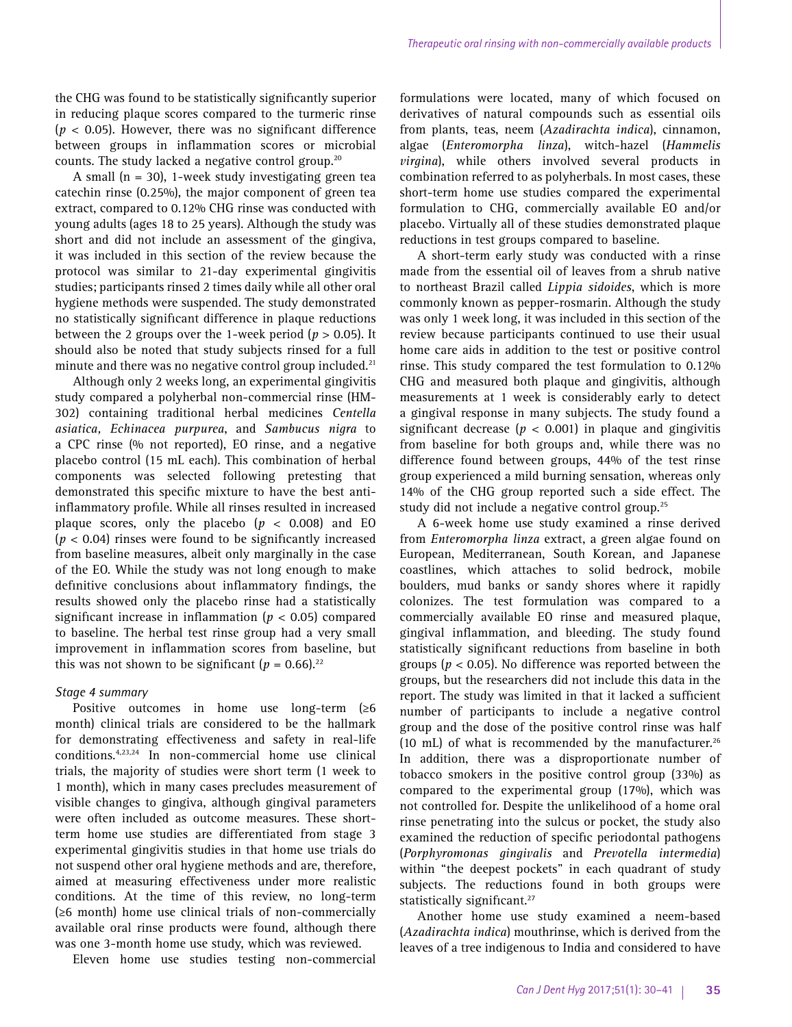the CHG was found to be statistically significantly superior in reducing plaque scores compared to the turmeric rinse (*p* < 0.05). However, there was no significant difference between groups in inflammation scores or microbial counts. The study lacked a negative control group.20

A small  $(n = 30)$ , 1-week study investigating green tea catechin rinse (0.25%), the major component of green tea extract, compared to 0.12% CHG rinse was conducted with young adults (ages 18 to 25 years). Although the study was short and did not include an assessment of the gingiva, it was included in this section of the review because the protocol was similar to 21-day experimental gingivitis studies; participants rinsed 2 times daily while all other oral hygiene methods were suspended. The study demonstrated no statistically significant difference in plaque reductions between the 2 groups over the 1-week period (*p* > 0.05). It should also be noted that study subjects rinsed for a full minute and there was no negative control group included.<sup>21</sup>

Although only 2 weeks long, an experimental gingivitis study compared a polyherbal non-commercial rinse (HM-302) containing traditional herbal medicines *Centella asiatica, Echinacea purpurea*, and *Sambucus nigra* to a CPC rinse (% not reported), EO rinse, and a negative placebo control (15 mL each). This combination of herbal components was selected following pretesting that demonstrated this specific mixture to have the best antiinflammatory profile. While all rinses resulted in increased plaque scores, only the placebo  $(p < 0.008)$  and EO (*p* < 0.04) rinses were found to be significantly increased from baseline measures, albeit only marginally in the case of the EO. While the study was not long enough to make definitive conclusions about inflammatory findings, the results showed only the placebo rinse had a statistically significant increase in inflammation (*p* < 0.05) compared to baseline. The herbal test rinse group had a very small improvement in inflammation scores from baseline, but this was not shown to be significant  $(p = 0.66)^{22}$ 

## *Stage 4 summary*

Positive outcomes in home use long-term (≥6 month) clinical trials are considered to be the hallmark for demonstrating effectiveness and safety in real-life conditions.4,23,24 In non-commercial home use clinical trials, the majority of studies were short term (1 week to 1 month), which in many cases precludes measurement of visible changes to gingiva, although gingival parameters were often included as outcome measures. These shortterm home use studies are differentiated from stage 3 experimental gingivitis studies in that home use trials do not suspend other oral hygiene methods and are, therefore, aimed at measuring effectiveness under more realistic conditions. At the time of this review, no long-term (≥6 month) home use clinical trials of non-commercially available oral rinse products were found, although there was one 3-month home use study, which was reviewed.

Eleven home use studies testing non-commercial

formulations were located, many of which focused on derivatives of natural compounds such as essential oils from plants, teas, neem (*Azadirachta indica*), cinnamon, algae (*Enteromorpha linza*), witch-hazel (*Hammelis virgina*), while others involved several products in combination referred to as polyherbals. In most cases, these short-term home use studies compared the experimental formulation to CHG, commercially available EO and/or placebo. Virtually all of these studies demonstrated plaque reductions in test groups compared to baseline.

A short-term early study was conducted with a rinse made from the essential oil of leaves from a shrub native to northeast Brazil called *Lippia sidoides*, which is more commonly known as pepper-rosmarin. Although the study was only 1 week long, it was included in this section of the review because participants continued to use their usual home care aids in addition to the test or positive control rinse. This study compared the test formulation to 0.12% CHG and measured both plaque and gingivitis, although measurements at 1 week is considerably early to detect a gingival response in many subjects. The study found a significant decrease ( $p < 0.001$ ) in plaque and gingivitis from baseline for both groups and, while there was no difference found between groups, 44% of the test rinse group experienced a mild burning sensation, whereas only 14% of the CHG group reported such a side effect. The study did not include a negative control group.<sup>25</sup>

A 6-week home use study examined a rinse derived from *Enteromorpha linza* extract, a green algae found on European, Mediterranean, South Korean, and Japanese coastlines, which attaches to solid bedrock, mobile boulders, mud banks or sandy shores where it rapidly colonizes. The test formulation was compared to a commercially available EO rinse and measured plaque, gingival inflammation, and bleeding. The study found statistically significant reductions from baseline in both groups ( $p < 0.05$ ). No difference was reported between the groups, but the researchers did not include this data in the report. The study was limited in that it lacked a sufficient number of participants to include a negative control group and the dose of the positive control rinse was half (10 mL) of what is recommended by the manufacturer.<sup>26</sup> In addition, there was a disproportionate number of tobacco smokers in the positive control group (33%) as compared to the experimental group (17%), which was not controlled for. Despite the unlikelihood of a home oral rinse penetrating into the sulcus or pocket, the study also examined the reduction of specific periodontal pathogens (*Porphyromonas gingivalis* and *Prevotella intermedia*) within "the deepest pockets" in each quadrant of study subjects. The reductions found in both groups were statistically significant.<sup>27</sup>

Another home use study examined a neem-based (*Azadirachta indica*) mouthrinse, which is derived from the leaves of a tree indigenous to India and considered to have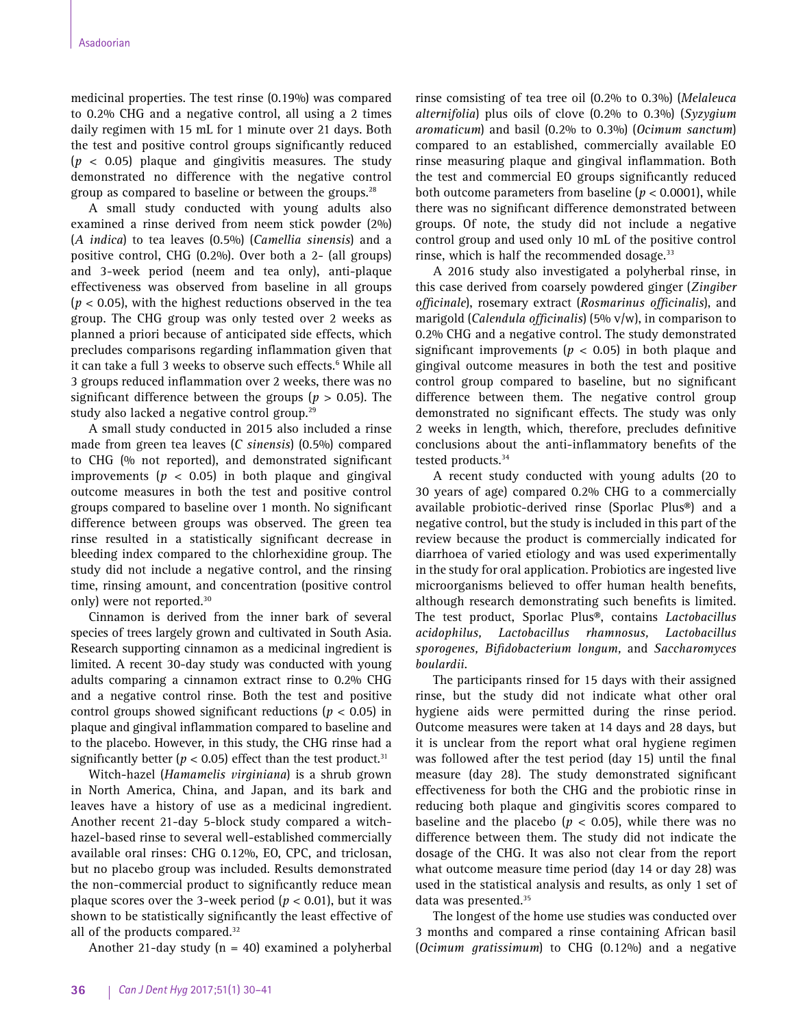medicinal properties. The test rinse (0.19%) was compared to 0.2% CHG and a negative control, all using a 2 times daily regimen with 15 mL for 1 minute over 21 days. Both the test and positive control groups significantly reduced (*p* < 0.05) plaque and gingivitis measures. The study demonstrated no difference with the negative control group as compared to baseline or between the groups.<sup>28</sup>

A small study conducted with young adults also examined a rinse derived from neem stick powder (2%) (*A indica*) to tea leaves (0.5%) (*Camellia sinensis*) and a positive control, CHG (0.2%). Over both a 2- (all groups) and 3-week period (neem and tea only), anti-plaque effectiveness was observed from baseline in all groups (*p* < 0.05), with the highest reductions observed in the tea group. The CHG group was only tested over 2 weeks as planned a priori because of anticipated side effects, which precludes comparisons regarding inflammation given that it can take a full 3 weeks to observe such effects.<sup>6</sup> While all 3 groups reduced inflammation over 2 weeks, there was no significant difference between the groups ( $p > 0.05$ ). The study also lacked a negative control group.<sup>29</sup>

A small study conducted in 2015 also included a rinse made from green tea leaves (*C sinensis*) (0.5%) compared to CHG (% not reported), and demonstrated significant improvements ( $p < 0.05$ ) in both plaque and gingival outcome measures in both the test and positive control groups compared to baseline over 1 month. No significant difference between groups was observed. The green tea rinse resulted in a statistically significant decrease in bleeding index compared to the chlorhexidine group. The study did not include a negative control, and the rinsing time, rinsing amount, and concentration (positive control only) were not reported.<sup>30</sup>

Cinnamon is derived from the inner bark of several species of trees largely grown and cultivated in South Asia. Research supporting cinnamon as a medicinal ingredient is limited. A recent 30-day study was conducted with young adults comparing a cinnamon extract rinse to 0.2% CHG and a negative control rinse. Both the test and positive control groups showed significant reductions (*p* < 0.05) in plaque and gingival inflammation compared to baseline and to the placebo. However, in this study, the CHG rinse had a significantly better ( $p < 0.05$ ) effect than the test product.<sup>31</sup>

Witch-hazel (*Hamamelis virginiana*) is a shrub grown in North America, China, and Japan, and its bark and leaves have a history of use as a medicinal ingredient. Another recent 21-day 5-block study compared a witchhazel-based rinse to several well-established commercially available oral rinses: CHG 0.12%, EO, CPC, and triclosan, but no placebo group was included. Results demonstrated the non-commercial product to significantly reduce mean plaque scores over the 3-week period ( $p < 0.01$ ), but it was shown to be statistically significantly the least effective of all of the products compared.<sup>32</sup>

Another 21-day study  $(n = 40)$  examined a polyherbal

rinse comsisting of tea tree oil (0.2% to 0.3%) (*Melaleuca alternifolia*) plus oils of clove (0.2% to 0.3%) (*Syzygium aromaticum*) and basil (0.2% to 0.3%) (*Ocimum sanctum*) compared to an established, commercially available EO rinse measuring plaque and gingival inflammation. Both the test and commercial EO groups significantly reduced both outcome parameters from baseline ( $p < 0.0001$ ), while there was no significant difference demonstrated between groups. Of note, the study did not include a negative control group and used only 10 mL of the positive control rinse, which is half the recommended dosage.<sup>33</sup>

A 2016 study also investigated a polyherbal rinse, in this case derived from coarsely powdered ginger (*Zingiber officinale*), rosemary extract (*Rosmarinus officinalis*), and marigold (*Calendula officinalis*) (5% v/w), in comparison to 0.2% CHG and a negative control. The study demonstrated significant improvements ( $p < 0.05$ ) in both plaque and gingival outcome measures in both the test and positive control group compared to baseline, but no significant difference between them. The negative control group demonstrated no significant effects. The study was only 2 weeks in length, which, therefore, precludes definitive conclusions about the anti-inflammatory benefits of the tested products.<sup>34</sup>

A recent study conducted with young adults (20 to 30 years of age) compared 0.2% CHG to a commercially available probiotic-derived rinse (Sporlac Plus®) and a negative control, but the study is included in this part of the review because the product is commercially indicated for diarrhoea of varied etiology and was used experimentally in the study for oral application. Probiotics are ingested live microorganisms believed to offer human health benefits, although research demonstrating such benefits is limited. The test product, Sporlac Plus®, contains *Lactobacillus acidophilus, Lactobacillus rhamnosus, Lactobacillus sporogenes, Bifidobacterium longum,* and *Saccharomyces boulardii*.

The participants rinsed for 15 days with their assigned rinse, but the study did not indicate what other oral hygiene aids were permitted during the rinse period. Outcome measures were taken at 14 days and 28 days, but it is unclear from the report what oral hygiene regimen was followed after the test period (day 15) until the final measure (day 28). The study demonstrated significant effectiveness for both the CHG and the probiotic rinse in reducing both plaque and gingivitis scores compared to baseline and the placebo ( $p < 0.05$ ), while there was no difference between them. The study did not indicate the dosage of the CHG. It was also not clear from the report what outcome measure time period (day 14 or day 28) was used in the statistical analysis and results, as only 1 set of data was presented.35

The longest of the home use studies was conducted over 3 months and compared a rinse containing African basil (*Ocimum gratissimum*) to CHG (0.12%) and a negative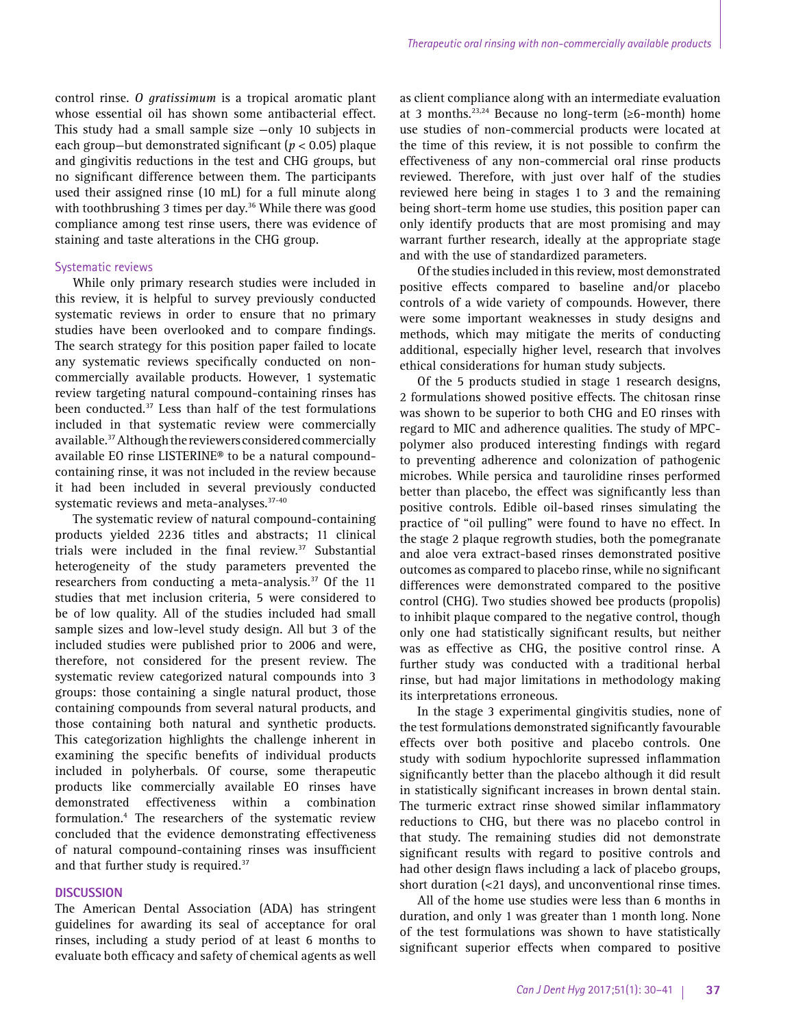control rinse. *O gratissimum* is a tropical aromatic plant whose essential oil has shown some antibacterial effect. This study had a small sample size —only 10 subjects in each group—but demonstrated significant (*p* < 0.05) plaque and gingivitis reductions in the test and CHG groups, but no significant difference between them. The participants used their assigned rinse (10 mL) for a full minute along with toothbrushing 3 times per day.<sup>36</sup> While there was good compliance among test rinse users, there was evidence of staining and taste alterations in the CHG group.

### Systematic reviews

While only primary research studies were included in this review, it is helpful to survey previously conducted systematic reviews in order to ensure that no primary studies have been overlooked and to compare findings. The search strategy for this position paper failed to locate any systematic reviews specifically conducted on noncommercially available products. However, 1 systematic review targeting natural compound-containing rinses has been conducted.37 Less than half of the test formulations included in that systematic review were commercially available.37 Although the reviewers considered commercially available EO rinse LISTERINE® to be a natural compoundcontaining rinse, it was not included in the review because it had been included in several previously conducted systematic reviews and meta-analyses.<sup>37-40</sup>

The systematic review of natural compound-containing products yielded 2236 titles and abstracts; 11 clinical trials were included in the final review.<sup>37</sup> Substantial heterogeneity of the study parameters prevented the researchers from conducting a meta-analysis.<sup>37</sup> Of the 11 studies that met inclusion criteria, 5 were considered to be of low quality. All of the studies included had small sample sizes and low-level study design. All but 3 of the included studies were published prior to 2006 and were, therefore, not considered for the present review. The systematic review categorized natural compounds into 3 groups: those containing a single natural product, those containing compounds from several natural products, and those containing both natural and synthetic products. This categorization highlights the challenge inherent in examining the specific benefits of individual products included in polyherbals. Of course, some therapeutic products like commercially available EO rinses have demonstrated effectiveness within a combination formulation.4 The researchers of the systematic review concluded that the evidence demonstrating effectiveness of natural compound-containing rinses was insufficient and that further study is required.<sup>37</sup>

#### **DISCUSSION**

The American Dental Association (ADA) has stringent guidelines for awarding its seal of acceptance for oral rinses, including a study period of at least 6 months to evaluate both efficacy and safety of chemical agents as well as client compliance along with an intermediate evaluation at 3 months.<sup>23,24</sup> Because no long-term ( $\geq 6$ -month) home use studies of non-commercial products were located at the time of this review, it is not possible to confirm the effectiveness of any non-commercial oral rinse products reviewed. Therefore, with just over half of the studies reviewed here being in stages 1 to 3 and the remaining being short-term home use studies, this position paper can only identify products that are most promising and may warrant further research, ideally at the appropriate stage and with the use of standardized parameters.

Of the studies included in this review, most demonstrated positive effects compared to baseline and/or placebo controls of a wide variety of compounds. However, there were some important weaknesses in study designs and methods, which may mitigate the merits of conducting additional, especially higher level, research that involves ethical considerations for human study subjects.

Of the 5 products studied in stage 1 research designs, 2 formulations showed positive effects. The chitosan rinse was shown to be superior to both CHG and EO rinses with regard to MIC and adherence qualities. The study of MPCpolymer also produced interesting findings with regard to preventing adherence and colonization of pathogenic microbes. While persica and taurolidine rinses performed better than placebo, the effect was significantly less than positive controls. Edible oil-based rinses simulating the practice of "oil pulling" were found to have no effect. In the stage 2 plaque regrowth studies, both the pomegranate and aloe vera extract-based rinses demonstrated positive outcomes as compared to placebo rinse, while no significant differences were demonstrated compared to the positive control (CHG). Two studies showed bee products (propolis) to inhibit plaque compared to the negative control, though only one had statistically significant results, but neither was as effective as CHG, the positive control rinse. A further study was conducted with a traditional herbal rinse, but had major limitations in methodology making its interpretations erroneous.

In the stage 3 experimental gingivitis studies, none of the test formulations demonstrated significantly favourable effects over both positive and placebo controls. One study with sodium hypochlorite supressed inflammation significantly better than the placebo although it did result in statistically significant increases in brown dental stain. The turmeric extract rinse showed similar inflammatory reductions to CHG, but there was no placebo control in that study. The remaining studies did not demonstrate significant results with regard to positive controls and had other design flaws including a lack of placebo groups, short duration (<21 days), and unconventional rinse times.

All of the home use studies were less than 6 months in duration, and only 1 was greater than 1 month long. None of the test formulations was shown to have statistically significant superior effects when compared to positive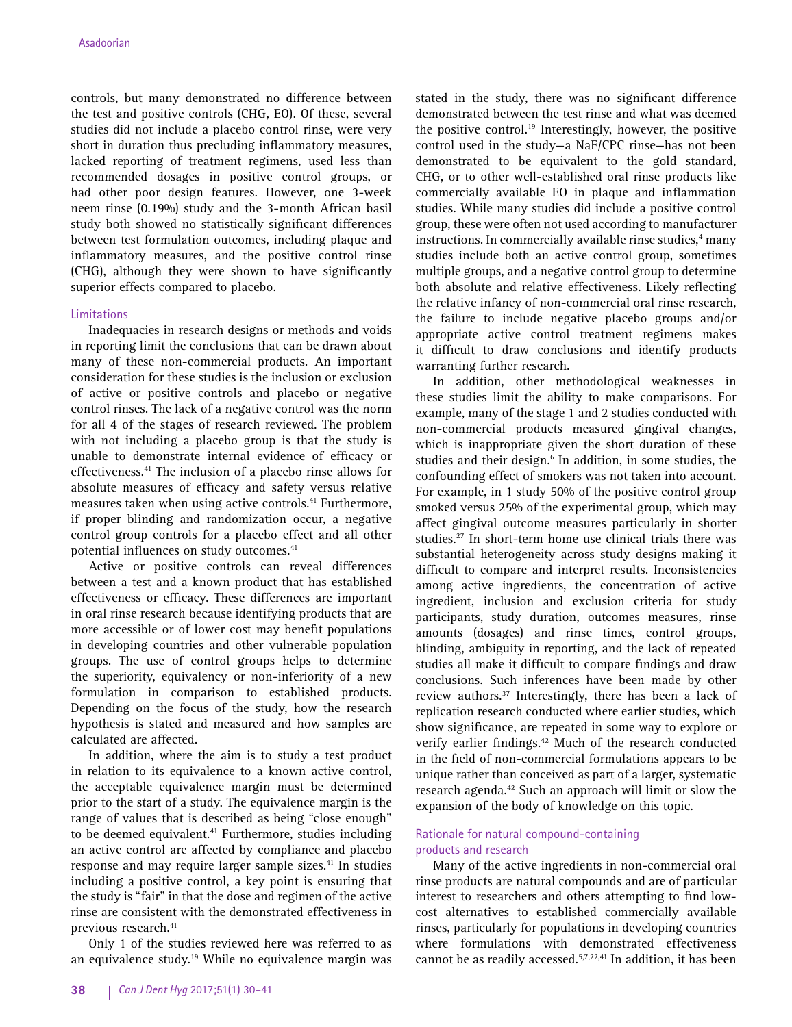controls, but many demonstrated no difference between the test and positive controls (CHG, EO). Of these, several studies did not include a placebo control rinse, were very short in duration thus precluding inflammatory measures, lacked reporting of treatment regimens, used less than recommended dosages in positive control groups, or had other poor design features. However, one 3-week neem rinse (0.19%) study and the 3-month African basil study both showed no statistically significant differences between test formulation outcomes, including plaque and inflammatory measures, and the positive control rinse (CHG), although they were shown to have significantly superior effects compared to placebo.

## Limitations

Inadequacies in research designs or methods and voids in reporting limit the conclusions that can be drawn about many of these non-commercial products. An important consideration for these studies is the inclusion or exclusion of active or positive controls and placebo or negative control rinses. The lack of a negative control was the norm for all 4 of the stages of research reviewed. The problem with not including a placebo group is that the study is unable to demonstrate internal evidence of efficacy or effectiveness.41 The inclusion of a placebo rinse allows for absolute measures of efficacy and safety versus relative measures taken when using active controls.<sup>41</sup> Furthermore, if proper blinding and randomization occur, a negative control group controls for a placebo effect and all other potential influences on study outcomes.<sup>41</sup>

Active or positive controls can reveal differences between a test and a known product that has established effectiveness or efficacy. These differences are important in oral rinse research because identifying products that are more accessible or of lower cost may benefit populations in developing countries and other vulnerable population groups. The use of control groups helps to determine the superiority, equivalency or non-inferiority of a new formulation in comparison to established products. Depending on the focus of the study, how the research hypothesis is stated and measured and how samples are calculated are affected.

In addition, where the aim is to study a test product in relation to its equivalence to a known active control, the acceptable equivalence margin must be determined prior to the start of a study. The equivalence margin is the range of values that is described as being "close enough" to be deemed equivalent.<sup>41</sup> Furthermore, studies including an active control are affected by compliance and placebo response and may require larger sample sizes.<sup>41</sup> In studies including a positive control, a key point is ensuring that the study is "fair" in that the dose and regimen of the active rinse are consistent with the demonstrated effectiveness in previous research.<sup>41</sup>

Only 1 of the studies reviewed here was referred to as an equivalence study.<sup>19</sup> While no equivalence margin was stated in the study, there was no significant difference demonstrated between the test rinse and what was deemed the positive control.<sup>19</sup> Interestingly, however, the positive control used in the study—a NaF/CPC rinse—has not been demonstrated to be equivalent to the gold standard, CHG, or to other well-established oral rinse products like commercially available EO in plaque and inflammation studies. While many studies did include a positive control group, these were often not used according to manufacturer instructions. In commercially available rinse studies,<sup>4</sup> many studies include both an active control group, sometimes multiple groups, and a negative control group to determine both absolute and relative effectiveness. Likely reflecting the relative infancy of non-commercial oral rinse research, the failure to include negative placebo groups and/or appropriate active control treatment regimens makes it difficult to draw conclusions and identify products warranting further research.

In addition, other methodological weaknesses in these studies limit the ability to make comparisons. For example, many of the stage 1 and 2 studies conducted with non-commercial products measured gingival changes, which is inappropriate given the short duration of these studies and their design.<sup>6</sup> In addition, in some studies, the confounding effect of smokers was not taken into account. For example, in 1 study 50% of the positive control group smoked versus 25% of the experimental group, which may affect gingival outcome measures particularly in shorter studies.27 In short-term home use clinical trials there was substantial heterogeneity across study designs making it difficult to compare and interpret results. Inconsistencies among active ingredients, the concentration of active ingredient, inclusion and exclusion criteria for study participants, study duration, outcomes measures, rinse amounts (dosages) and rinse times, control groups, blinding, ambiguity in reporting, and the lack of repeated studies all make it difficult to compare findings and draw conclusions. Such inferences have been made by other review authors.<sup>37</sup> Interestingly, there has been a lack of replication research conducted where earlier studies, which show significance, are repeated in some way to explore or verify earlier findings.<sup>42</sup> Much of the research conducted in the field of non-commercial formulations appears to be unique rather than conceived as part of a larger, systematic research agenda.42 Such an approach will limit or slow the expansion of the body of knowledge on this topic.

# Rationale for natural compound-containing products and research

Many of the active ingredients in non-commercial oral rinse products are natural compounds and are of particular interest to researchers and others attempting to find lowcost alternatives to established commercially available rinses, particularly for populations in developing countries where formulations with demonstrated effectiveness cannot be as readily accessed.5,7,22,41 In addition, it has been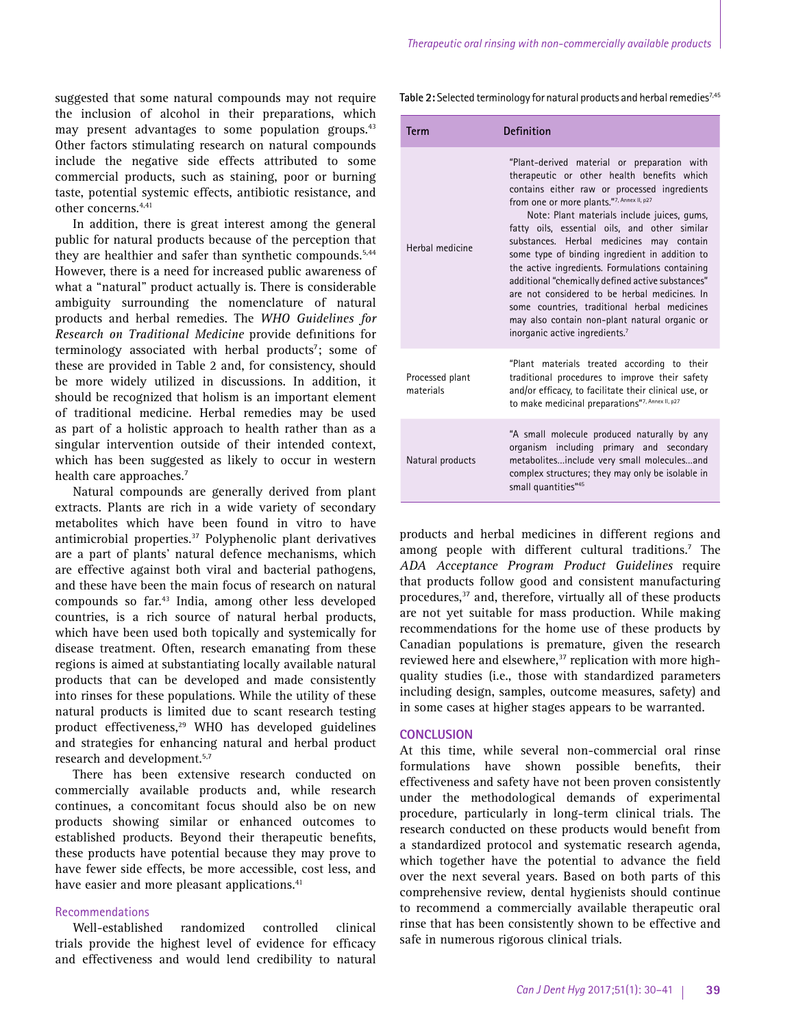suggested that some natural compounds may not require the inclusion of alcohol in their preparations, which may present advantages to some population groups.<sup>43</sup> Other factors stimulating research on natural compounds include the negative side effects attributed to some commercial products, such as staining, poor or burning taste, potential systemic effects, antibiotic resistance, and other concerns.4,41

In addition, there is great interest among the general public for natural products because of the perception that they are healthier and safer than synthetic compounds.<sup>5,44</sup> However, there is a need for increased public awareness of what a "natural" product actually is. There is considerable ambiguity surrounding the nomenclature of natural products and herbal remedies. The *WHO Guidelines for Research on Traditional Medicine* provide definitions for terminology associated with herbal products<sup>7</sup>; some of these are provided in Table 2 and, for consistency, should be more widely utilized in discussions. In addition, it should be recognized that holism is an important element of traditional medicine. Herbal remedies may be used as part of a holistic approach to health rather than as a singular intervention outside of their intended context, which has been suggested as likely to occur in western health care approaches.<sup>7</sup>

Natural compounds are generally derived from plant extracts. Plants are rich in a wide variety of secondary metabolites which have been found in vitro to have antimicrobial properties.<sup>37</sup> Polyphenolic plant derivatives are a part of plants' natural defence mechanisms, which are effective against both viral and bacterial pathogens, and these have been the main focus of research on natural compounds so far.43 India, among other less developed countries, is a rich source of natural herbal products, which have been used both topically and systemically for disease treatment. Often, research emanating from these regions is aimed at substantiating locally available natural products that can be developed and made consistently into rinses for these populations. While the utility of these natural products is limited due to scant research testing product effectiveness,<sup>29</sup> WHO has developed guidelines and strategies for enhancing natural and herbal product research and development.<sup>5,7</sup>

There has been extensive research conducted on commercially available products and, while research continues, a concomitant focus should also be on new products showing similar or enhanced outcomes to established products. Beyond their therapeutic benefits, these products have potential because they may prove to have fewer side effects, be more accessible, cost less, and have easier and more pleasant applications.<sup>41</sup>

### Recommendations

Well-established randomized controlled clinical trials provide the highest level of evidence for efficacy and effectiveness and would lend credibility to natural Table 2: Selected terminology for natural products and herbal remedies<sup>7,45</sup>

| Term                         | Definition                                                                                                                                                                                                                                                                                                                                                                                                                                                                                                                                                                                                                                                                                   |  |
|------------------------------|----------------------------------------------------------------------------------------------------------------------------------------------------------------------------------------------------------------------------------------------------------------------------------------------------------------------------------------------------------------------------------------------------------------------------------------------------------------------------------------------------------------------------------------------------------------------------------------------------------------------------------------------------------------------------------------------|--|
| Herhal medicine              | "Plant-derived material or preparation with<br>therapeutic or other health benefits which<br>contains either raw or processed ingredients<br>from one or more plants."7, Annex II, p27<br>Note: Plant materials include juices, gums,<br>fatty oils, essential oils, and other similar<br>substances. Herbal medicines may contain<br>some type of binding ingredient in addition to<br>the active ingredients. Formulations containing<br>additional "chemically defined active substances"<br>are not considered to be herbal medicines. In<br>some countries, traditional herbal medicines<br>may also contain non-plant natural organic or<br>inorganic active ingredients. <sup>7</sup> |  |
| Processed plant<br>materials | "Plant materials treated according to their<br>traditional procedures to improve their safety<br>and/or efficacy, to facilitate their clinical use, or<br>to make medicinal preparations"7, Annex II, p27                                                                                                                                                                                                                                                                                                                                                                                                                                                                                    |  |
| Natural products             | "A small molecule produced naturally by any<br>organism including primary and secondary<br>metabolitesinclude very small moleculesand<br>complex structures; they may only be isolable in<br>small quantities"45                                                                                                                                                                                                                                                                                                                                                                                                                                                                             |  |

products and herbal medicines in different regions and among people with different cultural traditions.<sup>7</sup> The *ADA Acceptance Program Product Guidelines* require that products follow good and consistent manufacturing procedures,<sup>37</sup> and, therefore, virtually all of these products are not yet suitable for mass production. While making recommendations for the home use of these products by Canadian populations is premature, given the research reviewed here and elsewhere,<sup>37</sup> replication with more highquality studies (i.e., those with standardized parameters including design, samples, outcome measures, safety) and in some cases at higher stages appears to be warranted.

### **CONCLUSION**

At this time, while several non-commercial oral rinse formulations have shown possible benefits, their effectiveness and safety have not been proven consistently under the methodological demands of experimental procedure, particularly in long-term clinical trials. The research conducted on these products would benefit from a standardized protocol and systematic research agenda, which together have the potential to advance the field over the next several years. Based on both parts of this comprehensive review, dental hygienists should continue to recommend a commercially available therapeutic oral rinse that has been consistently shown to be effective and safe in numerous rigorous clinical trials.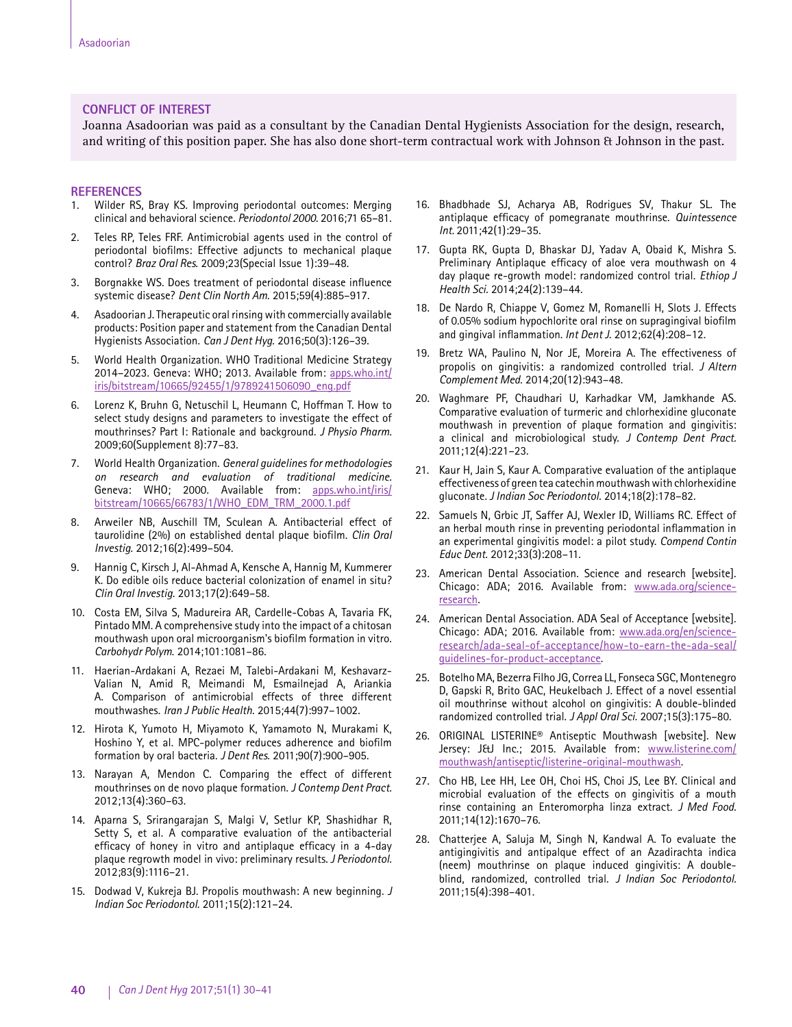### **CONFLICT OF INTEREST**

Joanna Asadoorian was paid as a consultant by the Canadian Dental Hygienists Association for the design, research, and writing of this position paper. She has also done short-term contractual work with Johnson & Johnson in the past.

### **REFERENCES**

- 1. Wilder RS, Bray KS. Improving periodontal outcomes: Merging clinical and behavioral science. *Periodontol 2000*. 2016;71 65–81.
- 2. Teles RP, Teles FRF. Antimicrobial agents used in the control of periodontal biofilms: Effective adjuncts to mechanical plaque control? *Braz Oral Res*. 2009;23(Special Issue 1):39–48.
- 3. Borgnakke WS. Does treatment of periodontal disease influence systemic disease? *Dent Clin North Am*. 2015;59(4):885–917.
- 4. Asadoorian J. Therapeutic oral rinsing with commercially available products: Position paper and statement from the Canadian Dental Hygienists Association. *Can J Dent Hyg*. 2016;50(3):126–39.
- 5. World Health Organization. WHO Traditional Medicine Strategy 2014–2023. Geneva: WHO; 2013. Available from: [apps.who.int/](http://apps.who.int/iris/bitstream/10665/92455/1/9789241506090_eng.pdf) [iris/bitstream/10665/92455/1/9789241506090\\_eng.pdf](http://apps.who.int/iris/bitstream/10665/92455/1/9789241506090_eng.pdf)
- 6. Lorenz K, Bruhn G, Netuschil L, Heumann C, Hoffman T. How to select study designs and parameters to investigate the effect of mouthrinses? Part I: Rationale and background. *J Physio Pharm.*  2009;60(Supplement 8):77–83.
- 7. World Health Organization. *General guidelines for methodologies on research and evaluation of traditional medicine.* Geneva: WHO; 2000. Available from: [apps.who.int/iris/](http://apps.who.int/iris/bitstream/10665/66783/1/WHO_EDM_TRM_2000.1.pdf) [bitstream/10665/66783/1/WHO\\_EDM\\_TRM\\_2000.1.pdf](http://apps.who.int/iris/bitstream/10665/66783/1/WHO_EDM_TRM_2000.1.pdf)
- 8. Arweiler NB, Auschill TM, Sculean A. Antibacterial effect of taurolidine (2%) on established dental plaque biofilm. *Clin Oral Investig*. 2012;16(2):499–504.
- 9. Hannig C, Kirsch J, Al-Ahmad A, Kensche A, Hannig M, Kummerer K. Do edible oils reduce bacterial colonization of enamel in situ? *Clin Oral Investig.* 2013;17(2):649–58.
- 10. Costa EM, Silva S, Madureira AR, Cardelle-Cobas A, Tavaria FK, Pintado MM. A comprehensive study into the impact of a chitosan mouthwash upon oral microorganism's biofilm formation in vitro. *Carbohydr Polym*. 2014;101:1081–86.
- 11. Haerian-Ardakani A, Rezaei M, Talebi-Ardakani M, Keshavarz-Valian N, Amid R, Meimandi M, Esmailnejad A, Ariankia A. Comparison of antimicrobial effects of three different mouthwashes. *Iran J Public Health*. 2015;44(7):997–1002.
- 12. Hirota K, Yumoto H, Miyamoto K, Yamamoto N, Murakami K, Hoshino Y, et al. MPC-polymer reduces adherence and biofilm formation by oral bacteria. *J Dent Res.* 2011;90(7):900–905.
- 13. Narayan A, Mendon C. Comparing the effect of different mouthrinses on de novo plaque formation. *J Contemp Dent Pract.*  2012;13(4):360–63.
- 14. Aparna S, Srirangarajan S, Malgi V, Setlur KP, Shashidhar R, Setty S, et al. A comparative evaluation of the antibacterial efficacy of honey in vitro and antiplaque efficacy in a 4-day plaque regrowth model in vivo: preliminary results. *J Periodontol.*  2012;83(9):1116–21.
- 15. Dodwad V, Kukreja BJ. Propolis mouthwash: A new beginning. *J Indian Soc Periodontol.* 2011;15(2):121–24.
- 16. Bhadbhade SJ, Acharya AB, Rodrigues SV, Thakur SL. The antiplaque efficacy of pomegranate mouthrinse. *Quintessence Int.* 2011;42(1):29–35.
- 17. Gupta RK, Gupta D, Bhaskar DJ, Yadav A, Obaid K, Mishra S. Preliminary Antiplaque efficacy of aloe vera mouthwash on 4 day plaque re-growth model: randomized control trial. *Ethiop J Health Sci.* 2014;24(2):139–44.
- 18. De Nardo R, Chiappe V, Gomez M, Romanelli H, Slots J. Effects of 0.05% sodium hypochlorite oral rinse on supragingival biofilm and gingival inflammation. *Int Dent J.* 2012;62(4):208–12.
- 19. Bretz WA, Paulino N, Nor JE, Moreira A. The effectiveness of propolis on gingivitis: a randomized controlled trial. *J Altern Complement Med.* 2014;20(12):943–48.
- 20. Waghmare PF, Chaudhari U, Karhadkar VM, Jamkhande AS. Comparative evaluation of turmeric and chlorhexidine gluconate mouthwash in prevention of plaque formation and gingivitis: a clinical and microbiological study. *J Contemp Dent Pract.* 2011;12(4):221–23.
- 21. Kaur H, Jain S, Kaur A. Comparative evaluation of the antiplaque effectiveness of green tea catechin mouthwash with chlorhexidine gluconate. *J Indian Soc Periodontol.* 2014;18(2):178–82.
- 22. Samuels N, Grbic JT, Saffer AJ, Wexler ID, Williams RC. Effect of an herbal mouth rinse in preventing periodontal inflammation in an experimental gingivitis model: a pilot study. *Compend Contin Educ Dent.* 2012;33(3):208–11.
- 23. American Dental Association. Science and research [website]. Chicago: ADA; 2016. Available from: [www.ada.org/science](http://www.ada.org/science-research)[research.](http://www.ada.org/science-research)
- 24. American Dental Association. ADA Seal of Acceptance [website]. Chicago: ADA; 2016. Available from: [www.ada.org/en/science](http://www.ada.org/en/science-research/ada-seal-of-acceptance/how-to-earn-the-ada-seal/guidelines-for-produ)[research/ada-seal-of-acceptance/how-to-earn-the-ada-seal/](http://www.ada.org/en/science-research/ada-seal-of-acceptance/how-to-earn-the-ada-seal/guidelines-for-produ) [guidelines-for-product-acceptance.](http://www.ada.org/en/science-research/ada-seal-of-acceptance/how-to-earn-the-ada-seal/guidelines-for-produ)
- 25. Botelho MA, Bezerra Filho JG, Correa LL, Fonseca SGC, Montenegro D, Gapski R, Brito GAC, Heukelbach J. Effect of a novel essential oil mouthrinse without alcohol on gingivitis: A double-blinded randomized controlled trial. *J Appl Oral Sci.* 2007;15(3):175–80.
- 26. ORIGINAL LISTERINE® Antiseptic Mouthwash [website]. New Jersey: J&J Inc.; 2015. Available from: [www.listerine.com/](http://www.listerine.com/mouthwash/antiseptic/listerine-original-mouthwash) [mouthwash/antiseptic/listerine-original-mouthwash.](http://www.listerine.com/mouthwash/antiseptic/listerine-original-mouthwash)
- 27. Cho HB, Lee HH, Lee OH, Choi HS, Choi JS, Lee BY. Clinical and microbial evaluation of the effects on gingivitis of a mouth rinse containing an Enteromorpha linza extract. *J Med Food.*  2011;14(12):1670–76.
- 28. Chatterjee A, Saluja M, Singh N, Kandwal A. To evaluate the antigingivitis and antipalque effect of an Azadirachta indica (neem) mouthrinse on plaque induced gingivitis: A doubleblind, randomized, controlled trial. *J Indian Soc Periodontol.* 2011;15(4):398–401.